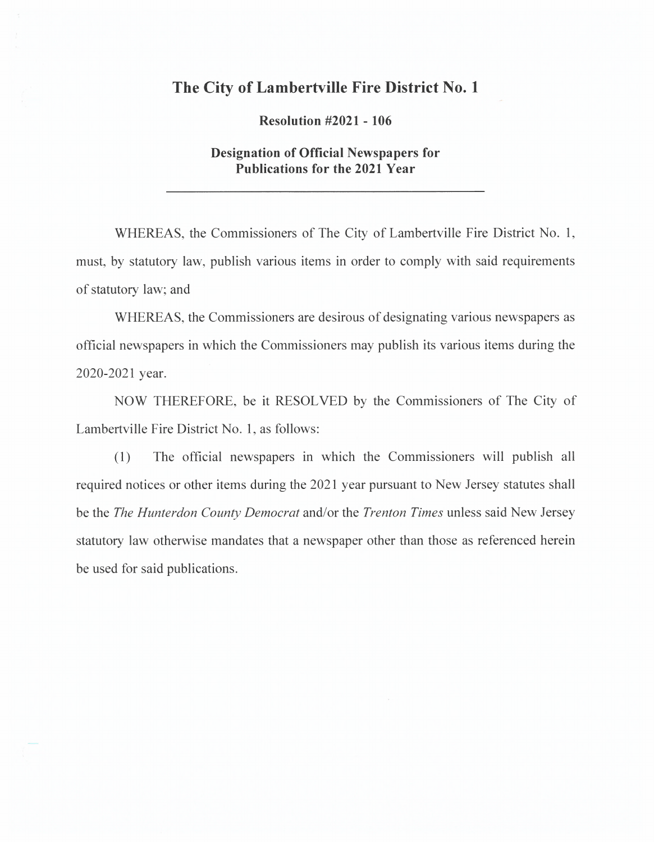## **The City of Lambertville Fire District No. 1**

**Resolution #2021 - 106** 

## **Designation of Official Newspapers for Publications for the 2021 Year**

WHEREAS, the Commissioners of The City of Lambertville Fire District No. 1, must, by statutory law, publish various items in order to comply with said requirements of statutory law; and

WHEREAS, the Commissioners are desirous of designating various newspapers as official newspapers in which the Commissioners may publish its various items during the 2020-2021 year.

NOW THEREFORE, be it RESOLVED by the Commissioners of The City of Lambertville Fire District No. 1, as follows:

(1) The official newspapers in which the Commissioners will publish all required notices or other items during the 2021 year pursuant to New Jersey statutes shall be the *The Hunterdon County Democrat* and/or the *Trenton Times* unless said New Jersey statutory law otherwise mandates that a newspaper other than those as referenced herein be used for said publications.